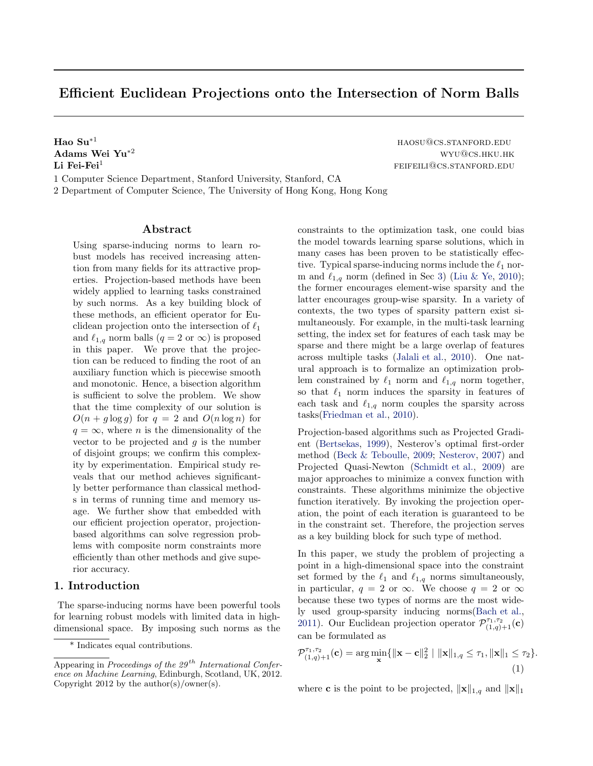# **Efficient Euclidean Projections onto the Intersection of Norm Balls**

**Hao Su**<sup>∗1</sup> has subsequently a subsequently a subsequently a subsequently a subsequently a subsequently a subsequently a subsequently a subsequently a subsequently a subsequently a subsequently a subsequently a subsequen **Adams Wei Yu***∗*<sup>2</sup> wyu@cs.hku.hk **Li Fei-Fei<sup>1</sup>** Feir Feiliges.stanford.edu

1 Computer Science Department, Stanford University, Stanford, CA

2 Department of Computer Science, The University of Hong Kong, Hong Kong

### **Abstract**

Using sparse-inducing norms to learn robust models has received increasing attention from many fields for its attractive properties. Projection-based methods have been widely applied to learning tasks constrained by such norms. As a key building block of these methods, an efficient operator for Euclidean projection onto the intersection of *ℓ*<sup>1</sup> and  $\ell_{1,q}$  norm balls  $(q = 2 \text{ or } \infty)$  is proposed in this paper. We prove that the projection can be reduced to finding the root of an auxiliary function which is piecewise smooth and monotonic. Hence, a bisection algorithm is sufficient to solve the problem. We show that the time complexity of our solution is  $O(n + q \log q)$  for  $q = 2$  and  $O(n \log n)$  for  $q = \infty$ , where *n* is the dimensionality of the vector to be projected and *g* is the number of disjoint groups; we confirm this complexity by experimentation. Empirical study reveals that our method achieves significantly better performance than classical methods in terms of running time and memory usage. We further show that embedded with our efficient projection operator, projectionbased algorithms can solve regression problems with composite norm constraints more efficiently than other methods and give superior accuracy.

### **1. Introduction**

The sparse-inducing norms have been powerful tools for learning robust models with limited data in highdimensional space. By imposing such norms as the constraints to the optimization task, one could bias the model towards learning sparse solutions, which in many cases has been proven to be statistically effective. Typical sparse-inducing norms include the *ℓ*<sup>1</sup> norm and  $\ell_{1,q}$  norm (defined in Sec 3) (Liu & Ye, 2010); the former encourages element-wise sparsity and the latter encourages group-wise sparsity. In a variety of contexts, the two types of sparsity pattern exist simultaneously. For example, in the multi-task learning setting, the index set for features of each task may be sparse and there might be a large overlap of features across multiple tasks (Jalali et al., 2010). One natural approach is to formalize an optimization problem constrained by  $\ell_1$  norm and  $\ell_{1,q}$  norm together, so that  $\ell_1$  norm induces the sparsity in features of each task and  $\ell_{1,q}$  norm couples the sparsity across tasks(Friedman et al., 2010).

Projection-based algorithms such as Projected Gradient (Bertsekas, 1999), Nesterov's optimal first-order method (Beck & Teboulle, 2009; Nesterov, 2007) and Projected Quasi-Newton (Schmidt et al., 2009) are major approaches to minimize a convex function with constraints. These algorithms minimize the objective function iteratively. By invoking the projection operation, the point of each iteration is guaranteed to be in the constraint set. Therefore, the projection serves as a key building block for such type of method.

In this paper, we study the problem of projecting a point in a high-dimensional space into the constraint set formed by the  $\ell_1$  and  $\ell_{1,q}$  norms simultaneously, in particular,  $q = 2$  or  $\infty$ . We choose  $q = 2$  or  $\infty$ because these two types of norms are the most widely used group-sparsity inducing norms(Bach et al., 2011). Our Euclidean projection operator  $\mathcal{P}_{(1,q)+1}^{\tau_1,\tau_2}(\mathbf{c})$ can be formulated as

$$
\mathcal{P}_{(1,q)+1}^{\tau_1,\tau_2}(\mathbf{c}) = \arg\min_{\mathbf{x}} \{ ||\mathbf{x} - \mathbf{c}||_2^2 \mid ||\mathbf{x}||_{1,q} \le \tau_1, ||\mathbf{x}||_1 \le \tau_2 \}.
$$
\n(1)

where **c** is the point to be projected,  $\|\mathbf{x}\|_{1,q}$  and  $\|\mathbf{x}\|_{1}$ 

<sup>\*</sup> Indicates equal contributions.

Appearing in *Proceedings of the 29 th International Conference on Machine Learning*, Edinburgh, Scotland, UK, 2012. Copyright 2012 by the author(s)/owner(s).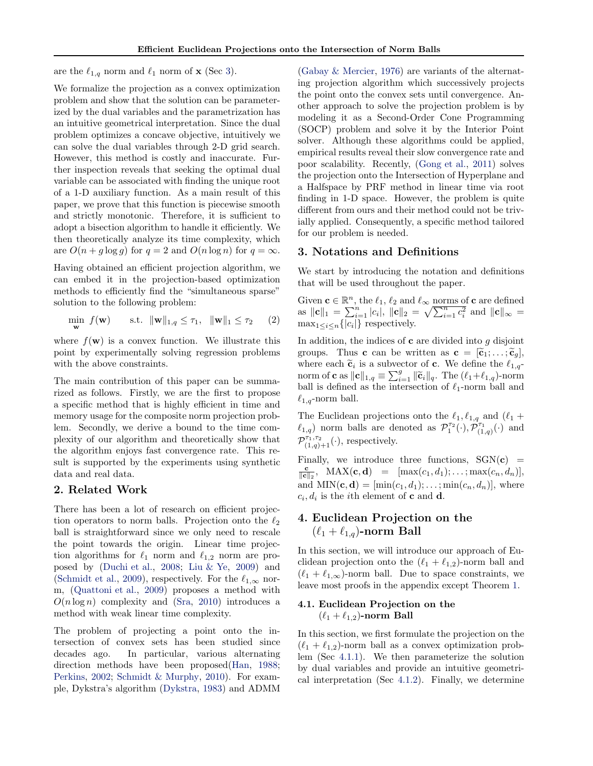are the  $\ell_{1,q}$  norm and  $\ell_1$  norm of **x** (Sec 3).

We formalize the projection as a convex optimization problem and show that the solution can be parameterized by the dual variables and the parametrization has an intuitive geometrical interpretation. Since the dual problem optimizes a concave objective, intuitively we can solve the dual variables through 2-D grid search. However, this method is costly and inaccurate. Further inspection reveals that seeking the optimal dual variable can be associated with finding the unique root of a 1-D auxiliary function. As a main result of this paper, we prove that this function is piecewise smooth and strictly monotonic. Therefore, it is sufficient to adopt a bisection algorithm to handle it efficiently. We then theoretically analyze its time complexity, which are  $O(n + q \log q)$  for  $q = 2$  and  $O(n \log n)$  for  $q = \infty$ .

Having obtained an efficient projection algorithm, we can embed it in the projection-based optimization methods to efficiently find the "simultaneous sparse" solution to the following problem:

$$
\min_{\mathbf{w}} f(\mathbf{w}) \qquad \text{s.t.} \quad \|\mathbf{w}\|_{1,q} \le \tau_1, \quad \|\mathbf{w}\|_1 \le \tau_2 \tag{2}
$$

where  $f(\mathbf{w})$  is a convex function. We illustrate this point by experimentally solving regression problems with the above constraints.

The main contribution of this paper can be summarized as follows. Firstly, we are the first to propose a specific method that is highly efficient in time and memory usage for the composite norm projection problem. Secondly, we derive a bound to the time complexity of our algorithm and theoretically show that the algorithm enjoys fast convergence rate. This result is supported by the experiments using synthetic data and real data.

# **2. Related Work**

There has been a lot of research on efficient projection operators to norm balls. Projection onto the *ℓ*<sup>2</sup> ball is straightforward since we only need to rescale the point towards the origin. Linear time projection algorithms for  $\ell_1$  norm and  $\ell_{1,2}$  norm are proposed by (Duchi et al., 2008; Liu & Ye, 2009) and (Schmidt et al., 2009), respectively. For the  $\ell_{1,\infty}$  norm, (Quattoni et al., 2009) proposes a method with  $O(n \log n)$  complexity and (Sra, 2010) introduces a method with weak linear time complexity.

The problem of projecting a point onto the intersection of convex sets has been studied since decades ago. In particular, various alternating direction methods have been proposed(Han, 1988; Perkins, 2002; Schmidt & Murphy, 2010). For example, Dykstra's algorithm (Dykstra, 1983) and ADMM

(Gabay & Mercier, 1976) are variants of the alternating projection algorithm which successively projects the point onto the convex sets until convergence. Another approach to solve the projection problem is by modeling it as a Second-Order Cone Programming (SOCP) problem and solve it by the Interior Point solver. Although these algorithms could be applied, empirical results reveal their slow convergence rate and poor scalability. Recently, (Gong et al., 2011) solves the projection onto the Intersection of Hyperplane and a Halfspace by PRF method in linear time via root finding in 1-D space. However, the problem is quite different from ours and their method could not be trivially applied. Consequently, a specific method tailored for our problem is needed.

# **3. Notations and Definitions**

We start by introducing the notation and definitions that will be used throughout the paper.

Given  $\mathbf{c} \in \mathbb{R}^n$ , the  $\ell_1$ ,  $\ell_2$  and  $\ell_\infty$  norms of **c** are defined as  $||c||_1 = \sum_{i=1}^n |c_i|, ||c||_2 = \sqrt{\sum_{i=1}^n c_i^2}$  and  $||c||_{\infty} =$  $\max_{1 \leq i \leq n} \{|c_i|\}$  respectively.

In addition, the indices of **c** are divided into  $g$  disjoint groups. Thus **c** can be written as  $\mathbf{c} = [\tilde{\mathbf{c}}_1; \dots; \tilde{\mathbf{c}}_q],$ where each  $\tilde{\mathbf{c}}_i$  is a subvector of **c**. We define the  $\ell_{1,q}$ norm of **c** as  $\|\mathbf{c}\|_{1,q} \equiv \sum_{i=1}^{g} \|\widetilde{\mathbf{c}}_i\|_q$ . The  $(\ell_1 + \ell_{1,q})$ -norm ball is defined as the intersection of *ℓ*1-norm ball and  $\ell_{1,q}$ -norm ball.

The Euclidean projections onto the  $\ell_1, \ell_{1,q}$  and  $(\ell_1 +$  $\ell_{1,q}$ ) norm balls are denoted as  $\mathcal{P}_1^{\tau_2}(\cdot), \mathcal{P}_{(1,q)}^{\tau_1}(\cdot)$  and  $\mathcal{P}_{(1,q)+1}^{\tau_1,\tau_2}(\cdot)$ , respectively.

Finally, we introduce three functions,  $SGN(c)$  =  $\frac{c}{\|\mathbf{c}\|_2}$ , MAX(**c***,* **d**) = [max(*c*<sub>1</sub>*, d*<sub>1</sub>); . . . ; max(*c<sub>n</sub>, d<sub>n</sub>*)], and  $MIN(c, d) = [\min(c_1, d_1); \ldots; \min(c_n, d_n)],$  where  $c_i, d_i$  is the *i*th element of **c** and **d**.

# **4. Euclidean Projection on the**  $(\ell_1 + \ell_{1,q})$ -norm Ball

In this section, we will introduce our approach of Euclidean projection onto the  $(\ell_1 + \ell_{1,2})$ -norm ball and  $(\ell_1 + \ell_{1,\infty})$ -norm ball. Due to space constraints, we leave most proofs in the appendix except Theorem 1.

### **4.1. Euclidean Projection on the**  $(\ell_1 + \ell_{1,2})$ -norm Ball

In this section, we first formulate the projection on the  $(\ell_1 + \ell_1)_2$ -norm ball as a convex optimization problem (Sec 4.1.1). We then parameterize the solution by dual variables and provide an intuitive geometrical interpretation (Sec 4.1.2). Finally, we determine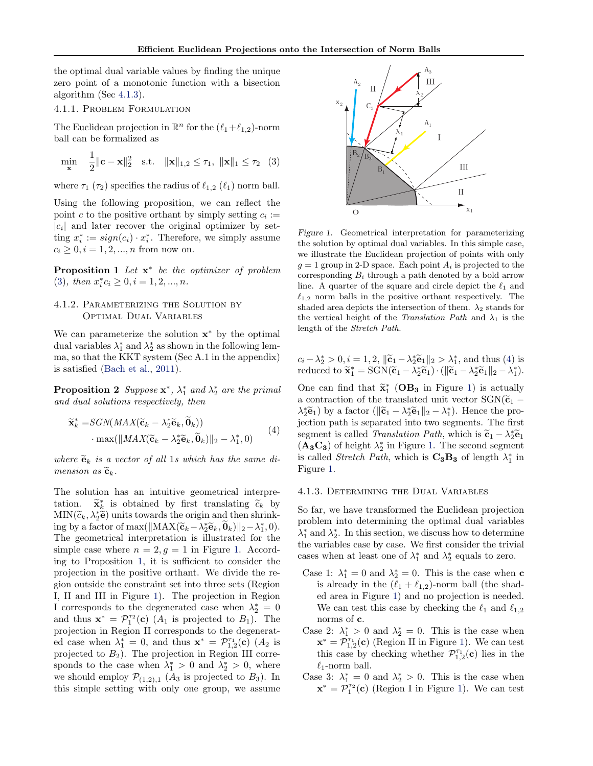the optimal dual variable values by finding the unique zero point of a monotonic function with a bisection algorithm (Sec 4.1.3).

### 4.1.1. Problem Formulation

The Euclidean projection in  $\mathbb{R}^n$  for the  $(\ell_1 + \ell_{1,2})$ -norm ball can be formalized as

$$
\min_{\mathbf{x}} \quad \frac{1}{2} \|\mathbf{c} - \mathbf{x}\|_2^2 \quad \text{s.t.} \quad \|\mathbf{x}\|_{1,2} \le \tau_1, \ \|\mathbf{x}\|_1 \le \tau_2 \quad (3)
$$

where  $\tau_1$  ( $\tau_2$ ) specifies the radius of  $\ell_{1,2}$  ( $\ell_1$ ) norm ball.

Using the following proposition, we can reflect the point *c* to the positive orthant by simply setting  $c_i :=$  $|c_i|$  and later recover the original optimizer by set- $\text{ting } x_i^* := \text{sign}(c_i) \cdot x_i^*$ . Therefore, we simply assume  $c_i \geq 0, i = 1, 2, ..., n$  from now on.

**Proposition 1** *Let* **x** *∗ be the optimizer of problem*  $(3)$ *, then*  $x_i^*c_i \geq 0$ *,*  $i = 1, 2, ..., n$ *.* 

### 4.1.2. Parameterizing the Solution by Optimal Dual Variables

We can parameterize the solution **x** *<sup>∗</sup>* by the optimal dual variables  $\lambda_1^*$  and  $\lambda_2^*$  as shown in the following lemma, so that the KKT system (Sec A.1 in the appendix) is satisfied (Bach et al., 2011).

**Proposition 2** *Suppose*  $\mathbf{x}^*$ *,*  $\lambda_1^*$  *and*  $\lambda_2^*$  *are the primal and dual solutions respectively, then*

$$
\widetilde{\mathbf{x}}_k^* = SGN(MAX(\widetilde{\mathbf{c}}_k - \lambda_2^*\widetilde{\mathbf{e}}_k, \widetilde{\mathbf{0}}_k)) \cdot \max(\|MAX(\widetilde{\mathbf{c}}_k - \lambda_2^*\widetilde{\mathbf{e}}_k, \widetilde{\mathbf{0}}_k)\|_2 - \lambda_1^*, 0)
$$
\n(4)

*where*  $\tilde{\mathbf{e}}_k$  *is a vector of all* 1*s which has the same dimension as*  $\tilde{\mathbf{c}}_k$ *.* 

The solution has an intuitive geometrical interpretation.  $\frac{k}{\infty}$  is obtained by first translating  $\tilde{c}_k$  by MIN( $\tilde{c}_k$ ,  $\lambda_2^* \tilde{\mathbf{e}}$ ) units towards the origin and then shrinking by a factor of max $(\|\text{MAX}(\widetilde{\mathbf{c}}_k - \lambda_2^* \widetilde{\mathbf{e}}_k, \mathbf{0}_k)\|_2 - \lambda_1^*, 0$ . The geometrical interpretation is illustrated for the simple case where  $n = 2, g = 1$  in Figure 1. According to Proposition 1, it is sufficient to consider the projection in the positive orthant. We divide the region outside the constraint set into three sets (Region I, II and III in Figure 1). The projection in Region I corresponds to the degenerated case when  $\lambda_2^* = 0$ and thus  $\mathbf{x}^* = \mathcal{P}_1^{\tau_2}(\mathbf{c})$  (*A*<sub>1</sub> is projected to *B*<sub>1</sub>). The projection in Region II corresponds to the degenerated case when  $\lambda_1^* = 0$ , and thus  $\mathbf{x}^* = \mathcal{P}_{1,2}^{\tau_1}(\mathbf{c})$  ( $A_2$  is projected to  $B_2$ ). The projection in Region III corresponds to the case when  $\lambda_1^* > 0$  and  $\lambda_2^* > 0$ , where we should employ  $\mathcal{P}_{(1,2),1}$  ( $A_3$  is projected to  $B_3$ ). In this simple setting with only one group, we assume



*Figure 1.* Geometrical interpretation for parameterizing the solution by optimal dual variables. In this simple case, we illustrate the Euclidean projection of points with only  $g = 1$  group in 2-D space. Each point  $A_i$  is projected to the corresponding  $B_i$  through a path denoted by a bold arrow line. A quarter of the square and circle depict the *ℓ*<sup>1</sup> and  $\ell_{1,2}$  norm balls in the positive orthant respectively. The shaded area depicts the intersection of them.  $\lambda_2$  stands for the vertical height of the *Translation Path* and  $\lambda_1$  is the length of the *Stretch Path*.

 $c_i - \lambda_2^* > 0, i = 1, 2, ||\widetilde{\mathbf{c}}_1 - \lambda_2^* \widetilde{\mathbf{e}}_1||_2 > \lambda_1^*$ , and thus (4) is  $r = \text{sduced to } \widetilde{\mathbf{x}}_1^* = \text{SGN}(\widetilde{\mathbf{c}}_1 - \lambda_2^* \widetilde{\mathbf{e}}_1) \cdot (\|\widetilde{\mathbf{c}}_1 - \lambda_2^* \widetilde{\mathbf{e}}_1\|_2 - \lambda_1^*).$ 

One can find that  $\tilde{\mathbf{x}}_1^*$  (OB<sub>3</sub> in Figure 1) is actually a contraction of the translated unit vector  $\text{SGN}(\widetilde{\mathbf{c}}_1 - \mathbf{c})$  $\lambda_2^* \tilde{\mathbf{e}}_1$ ) by a factor ( $\|\tilde{\mathbf{e}}_1 - \lambda_2^* \tilde{\mathbf{e}}_1\|_2 - \lambda_1^*$ ). Hence the projection path is separated into two segments. The first segment is called *Translation Path*, which is  $\tilde{\mathbf{c}}_1 - \lambda_2^* \tilde{\mathbf{e}}_1$  $(A_3C_3)$  of height  $\lambda_2^*$  in Figure 1. The second segment is called *Stretch Path*, which is  $C_3B_3$  of length  $\lambda_1^*$  in Figure 1.

#### 4.1.3. Determining the Dual Variables

So far, we have transformed the Euclidean projection problem into determining the optimal dual variables  $\lambda_1^*$  and  $\lambda_2^*$ . In this section, we discuss how to determine the variables case by case. We first consider the trivial cases when at least one of  $\lambda_1^*$  and  $\lambda_2^*$  equals to zero.

- Case 1:  $\lambda_1^* = 0$  and  $\lambda_2^* = 0$ . This is the case when **c** is already in the  $(\ell_1 + \ell_{1,2})$ -norm ball (the shaded area in Figure 1) and no projection is needed. We can test this case by checking the  $\ell_1$  and  $\ell_{1,2}$ norms of **c**.
- Case 2:  $\lambda_1^* > 0$  and  $\lambda_2^* = 0$ . This is the case when  $\mathbf{x}^* = \mathcal{P}_{1,2}^{\tau_1}(\mathbf{c})$  (Region II in Figure 1). We can test this case by checking whether  $\mathcal{P}_{1,2}^{\tau_1}(\mathbf{c})$  lies in the  $\ell_1$ -norm ball.
- Case 3:  $\lambda_1^* = 0$  and  $\lambda_2^* > 0$ . This is the case when  $\mathbf{x}^* = \overline{P}_1^{\tau_2}(\mathbf{c})$  (Region I in Figure 1). We can test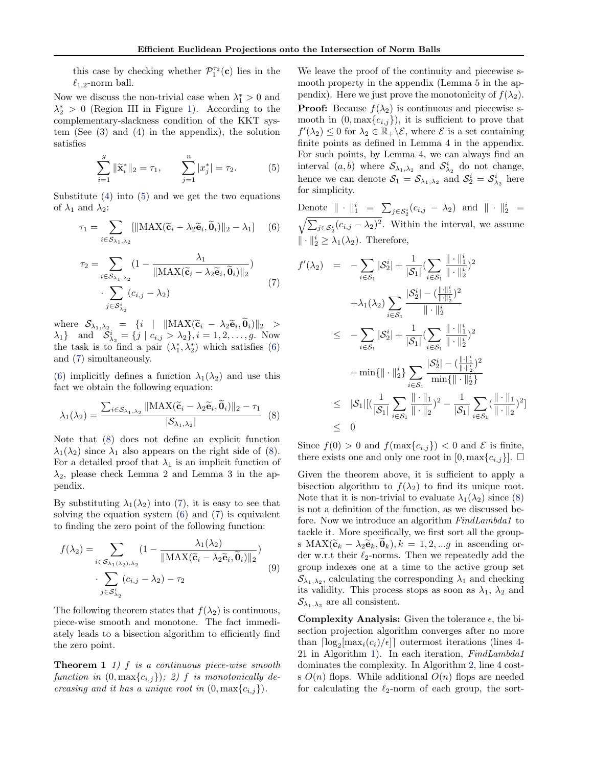this case by checking whether  $\mathcal{P}_1^{\tau_2}(\mathbf{c})$  lies in the  $\ell_{1,2}$ -norm ball.

Now we discuss the non-trivial case when  $\lambda_1^* > 0$  and  $\lambda_2^*$  > 0 (Region III in Figure 1). According to the complementary-slackness condition of the KKT system (See (3) and (4) in the appendix), the solution satisfies

$$
\sum_{i=1}^{g} \|\widetilde{\mathbf{x}}_i^*\|_2 = \tau_1, \qquad \sum_{j=1}^{n} |x_j^*| = \tau_2.
$$
 (5)

Substitute (4) into (5) and we get the two equations of  $\lambda_1$  and  $\lambda_2$ :

$$
\tau_1 = \sum_{i \in \mathcal{S}_{\lambda_1, \lambda_2}} [\|\text{MAX}(\widetilde{\mathbf{c}}_i - \lambda_2 \widetilde{\mathbf{e}}_i, \widetilde{\mathbf{0}}_i)\|_2 - \lambda_1] \tag{6}
$$

$$
\tau_2 = \sum_{i \in S_{\lambda_1, \lambda_2}} (1 - \frac{\lambda_1}{\|\text{MAX}(\widetilde{\mathbf{c}}_i - \lambda_2 \widetilde{\mathbf{e}}_i, \widetilde{\mathbf{0}}_i)\|_2})
$$

$$
\cdot \sum_{j \in S_{\lambda_2}^i} (c_{i,j} - \lambda_2)
$$
(7)

where  $S_{\lambda_1, \lambda_2} = \{i \mid ||MAX(\tilde{c}_i - \lambda_2 \tilde{e}_i, 0_i)||_2 >$ *λ*<sub>1</sub>} and  $S^i_{\lambda_2} = \{j \mid c_{i,j} > \lambda_2\}, i = 1, 2, ..., g$ . Now the task is to find a pair  $(\lambda_1^*, \lambda_2^*)$  which satisfies (6) and (7) simultaneously.

(6) implicitly defines a function  $\lambda_1(\lambda_2)$  and use this fact we obtain the following equation:

$$
\lambda_1(\lambda_2) = \frac{\sum_{i \in \mathcal{S}_{\lambda_1, \lambda_2}} ||\text{MAX}(\widetilde{\mathbf{c}}_i - \lambda_2 \widetilde{\mathbf{e}}_i, \widetilde{\mathbf{0}}_i)||_2 - \tau_1}{|\mathcal{S}_{\lambda_1, \lambda_2}|} \tag{8}
$$

Note that (8) does not define an explicit function  $\lambda_1(\lambda_2)$  since  $\lambda_1$  also appears on the right side of (8). For a detailed proof that  $\lambda_1$  is an implicit function of  $\lambda_2$ , please check Lemma 2 and Lemma 3 in the appendix.

By substituting  $\lambda_1(\lambda_2)$  into (7), it is easy to see that solving the equation system  $(6)$  and  $(7)$  is equivalent to finding the zero point of the following function:

$$
f(\lambda_2) = \sum_{i \in S_{\lambda_1(\lambda_2), \lambda_2}} (1 - \frac{\lambda_1(\lambda_2)}{\|\text{MAX}(\tilde{\mathbf{c}}_i - \lambda_2 \tilde{\mathbf{e}}_i, \tilde{\mathbf{0}}_i)\|_2})
$$
  

$$
\sum_{j \in S_{\lambda_2}^i} (c_{i,j} - \lambda_2) - \tau_2
$$
 (9)

The following theorem states that  $f(\lambda_2)$  is continuous, piece-wise smooth and monotone. The fact immediately leads to a bisection algorithm to efficiently find the zero point.

**Theorem 1** *1) f is a continuous piece-wise smooth function in*  $(0, \max\{c_{i,j}\})$ ; 2) *f is monotonically decreasing and it has a unique root in*  $(0, \max\{c_{i,j}\})$ *.* 

We leave the proof of the continuity and piecewise smooth property in the appendix (Lemma 5 in the appendix). Here we just prove the monotonicity of  $f(\lambda_2)$ . **Proof:** Because  $f(\lambda_2)$  is continuous and piecewise smooth in  $(0, \max\{c_{i,j}\})$ , it is sufficient to prove that  $f'(\lambda_2) \leq 0$  for  $\lambda_2 \in \mathbb{R}_+ \backslash \mathcal{E}$ , where  $\mathcal E$  is a set containing finite points as defined in Lemma 4 in the appendix. For such points, by Lemma 4, we can always find an interval  $(a, b)$  where  $S_{\lambda_1, \lambda_2}$  and  $S_{\lambda_2}^i$  do not change, hence we can denote  $S_1 = S_{\lambda_1, \lambda_2}$  and  $S_2^i = S_{\lambda_2}^i$  here for simplicity.

Denote  $|| \cdot ||_1^i = \sum_{j \in S_2^i} (c_{i,j} - \lambda_2)$  and  $|| \cdot ||_2^i =$  $\sqrt{\sum_{j \in S_2^i} (c_{i,j} - \lambda_2)^2}$ . Within the interval, we assume  $\| \cdot \|_2^i$  ≥  $\lambda_1(\lambda_2)$ . Therefore,

$$
f'(\lambda_2) = -\sum_{i \in S_1} |\mathcal{S}_2^i| + \frac{1}{|\mathcal{S}_1|} (\sum_{i \in S_1} \frac{\| \cdot \|^i_1}{\| \cdot \|^i_2})^2
$$
  

$$
+ \lambda_1(\lambda_2) \sum_{i \in S_1} \frac{|\mathcal{S}_2^i| - (\frac{\| \cdot \|^i_1}{\| \cdot \|^i_2})^2}{\| \cdot \|^i_2}
$$
  

$$
\leq -\sum_{i \in S_1} |\mathcal{S}_2^i| + \frac{1}{|\mathcal{S}_1|} (\sum_{i \in S_1} \frac{\| \cdot \|^i_1}{\| \cdot \|^i_2})^2
$$
  

$$
+ \min \{ \|\cdot \|^i_2 \} \sum_{i \in S_1} \frac{|\mathcal{S}_2^i| - (\frac{\| \cdot \|^i_1}{\| \cdot \|^i_2})^2}{\min \{ \|\cdot \|^i_2 \}}
$$
  

$$
\leq |\mathcal{S}_1| [(\frac{1}{|\mathcal{S}_1|} \sum_{i \in S_1} \frac{\| \cdot \|^i_1}{\| \cdot \|^i_2})^2 - \frac{1}{|\mathcal{S}_1|} \sum_{i \in S_1} (\frac{\| \cdot \|^i_1}{\| \cdot \|^i_2})^2 ]
$$
  

$$
\leq 0
$$

Since  $f(0) > 0$  and  $f(\max\{c_{i,j}\}) < 0$  and  $\mathcal E$  is finite, there exists one and only one root in  $[0, \max\{c_{i,j}\}]$ .  $\Box$ 

Given the theorem above, it is sufficient to apply a bisection algorithm to  $f(\lambda_2)$  to find its unique root. Note that it is non-trivial to evaluate  $\lambda_1(\lambda_2)$  since (8) is not a definition of the function, as we discussed before. Now we introduce an algorithm *FindLambda1* to tackle it. More specifically, we first sort all the groups MAX $(\tilde{\mathbf{c}}_k - \lambda_2 \tilde{\mathbf{e}}_k, \tilde{\mathbf{0}}_k)$ ,  $k = 1, 2, \dots g$  in ascending order w.r.t their *ℓ*2-norms. Then we repeatedly add the group indexes one at a time to the active group set  $S_{\lambda_1, \lambda_2}$ , calculating the corresponding  $\lambda_1$  and checking its validity. This process stops as soon as  $\lambda_1$ ,  $\lambda_2$  and  $S_{\lambda_1,\lambda_2}$  are all consistent.

**Complexity Analysis:** Given the tolerance  $\epsilon$ , the bisection projection algorithm converges after no more than  $\lceil \log_2 \lfloor \max_i(c_i)/\epsilon \rfloor \rceil$  outermost iterations (lines 4-21 in Algorithm 1). In each iteration, *FindLambda1* dominates the complexity. In Algorithm 2, line 4 costs  $O(n)$  flops. While additional  $O(n)$  flops are needed for calculating the *ℓ*2-norm of each group, the sort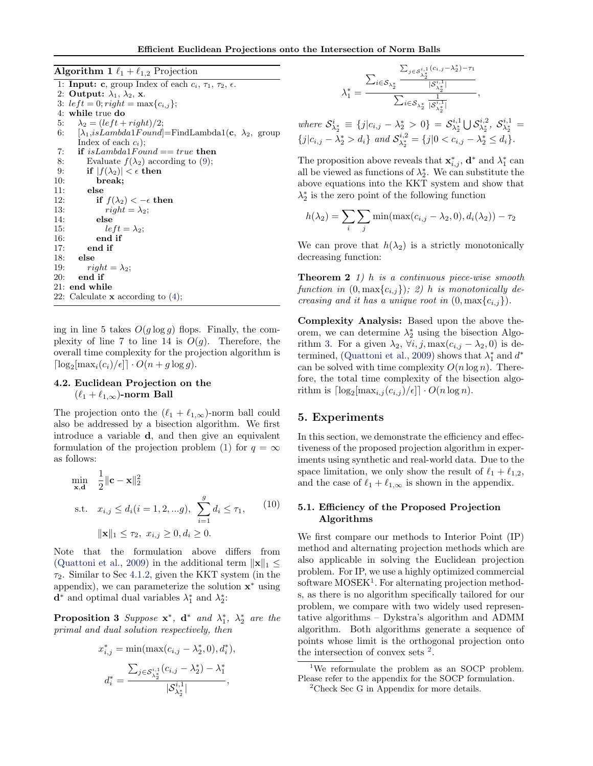**Algorithm 1**  $\ell_1 + \ell_{1,2}$  Projection

1: **Input: c**, group Index of each  $c_i$ ,  $\tau_1$ ,  $\tau_2$ ,  $\epsilon$ . 2: **Output:**  $\lambda_1$ ,  $\lambda_2$ , **x**. 3:  $left = 0; right = max\{c_{i,j}\};$ 4: **while** true **do** 5:  $\lambda_2 = (left + right)/(2)$ ; 6:  $[\lambda_1, is Lambda1Found] = FindLambda1(c, \lambda_2, group)$ Index of each *ci*); 7: **if** *isLambda*1*F ound* == *true* **then** 8: Evaluate  $f(\lambda_2)$  according to (9); 9: **if**  $|f(\lambda_2)| < \epsilon$  then 10: **break;** 11: **else** 12: **if**  $f(\lambda_2) < -\epsilon$  **then** 13:  $right = \lambda_2;$ 14: **else** 15:  $left = \lambda_2;$ 16: **end if** 17: **end if** 18: **else** 19:  $right = \lambda_2$ ; 20: **end if** 21: **end while** 22: Calculate **x** according to (4);

ing in line 5 takes  $O(g \log g)$  flops. Finally, the complexity of line 7 to line 14 is  $O(q)$ . Therefore, the overall time complexity for the projection algorithm is  $\lceil \log_2 \left[ \max_i(c_i)/\epsilon \right] \rceil \cdot O(n + g \log g).$ 

### **4.2. Euclidean Projection on the**  $(\ell_1 + \ell_{1,\infty})$ -norm Ball

The projection onto the  $(\ell_1 + \ell_{1,\infty})$ -norm ball could also be addressed by a bisection algorithm. We first introduce a variable **d**, and then give an equivalent formulation of the projection problem (1) for  $q = \infty$ as follows:

$$
\min_{\mathbf{x}, \mathbf{d}} \quad \frac{1}{2} \|\mathbf{c} - \mathbf{x}\|_2^2
$$
\n
$$
\text{s.t.} \quad x_{i,j} \le d_i (i = 1, 2, \dots g), \sum_{i=1}^g d_i \le \tau_1, \quad (10)
$$
\n
$$
\|\mathbf{x}\|_1 \le \tau_2, \ x_{i,j} \ge 0, d_i \ge 0.
$$

Note that the formulation above differs from (Quattoni et al., 2009) in the additional term  $\|\mathbf{x}\|_1 \leq$ *τ*2. Similar to Sec 4.1.2, given the KKT system (in the appendix), we can parameterize the solution **x** *<sup>∗</sup>* using **d**<sup>\*</sup> and optimal dual variables  $\lambda_1^*$  and  $\lambda_2^*$ :

**Proposition 3** Suppose  $\mathbf{x}^*$ ,  $\mathbf{d}^*$  and  $\lambda_1^*$ ,  $\lambda_2^*$  are the *primal and dual solution respectively, then*

$$
x_{i,j}^* = \min(\max(c_{i,j} - \lambda_2^*, 0), d_i^*),
$$

$$
d_i^* = \frac{\sum_{j \in S_{\lambda_2^*}^{i,1}} (c_{i,j} - \lambda_2^*) - \lambda_1^*}{|S_{\lambda_2^*}^{i,1}|},
$$

$$
\lambda_1^* = \frac{\sum_{i \in \mathcal{S}_{\lambda_2^*}} \frac{\sum_{j \in \mathcal{S}_{\lambda_2^*}^{i,1}(c_{i,j} - \lambda_2^*) - \tau_1}}{|\mathcal{S}_{\lambda_2^*}^{i,1}|}}{\sum_{i \in \mathcal{S}_{\lambda_2^*}} \frac{1}{|\mathcal{S}_{\lambda_2^*}^{i,1}|}}}
$$

*,*

where  $S^i_{\lambda_2^*} \equiv \{j|c_{i,j} - \lambda_2^* > 0\} = S^{i,1}_{\lambda_2^*} \bigcup S^{i,2}_{\lambda_2^*}, S^{i,1}_{\lambda_2^*} =$  $\{j|c_{i,j} - \lambda_2^* > d_i\}$  and  $S_{\lambda_2^*}^{i,2} = \{j|0 < c_{i,j} - \lambda_2^* \leq d_i\}.$ 

The proposition above reveals that  $\mathbf{x}_{i,j}^*$ ,  $\mathbf{d}^*$  and  $\lambda_1^*$  can all be viewed as functions of  $\lambda_2^*$ . We can substitute the above equations into the KKT system and show that  $\lambda_2^*$  is the zero point of the following function

$$
h(\lambda_2) = \sum_{i} \sum_{j} \min(\max(c_{i,j} - \lambda_2, 0), d_i(\lambda_2)) - \tau_2
$$

We can prove that  $h(\lambda_2)$  is a strictly monotonically decreasing function:

**Theorem 2** *1) h is a continuous piece-wise smooth function in*  $(0, \max\{c_{i,j}\})$ ; 2) *h is monotonically decreasing and it has a unique root in*  $(0, \max\{c_{i,j}\})$ .

**Complexity Analysis:** Based upon the above theorem, we can determine  $\lambda_2^*$  using the bisection Algorithm 3. For a given  $\lambda_2$ ,  $\forall i, j, \max(c_{i,j} - \lambda_2, 0)$  is determined, (Quattoni et al., 2009) shows that  $\lambda_1^*$  and  $d^*$ can be solved with time complexity  $O(n \log n)$ . Therefore, the total time complexity of the bisection algorithm is  $\lceil \log_2[\max_{i,j}(c_{i,j})/\epsilon] \rceil \cdot O(n \log n)$ .

# **5. Experiments**

In this section, we demonstrate the efficiency and effectiveness of the proposed projection algorithm in experiments using synthetic and real-world data. Due to the space limitation, we only show the result of  $\ell_1 + \ell_{1,2}$ , and the case of  $\ell_1 + \ell_{1,\infty}$  is shown in the appendix.

### **5.1. Efficiency of the Proposed Projection Algorithms**

We first compare our methods to Interior Point (IP) method and alternating projection methods which are also applicable in solving the Euclidean projection problem. For IP, we use a highly optimized commercial software MOSEK<sup>1</sup>. For alternating projection methods, as there is no algorithm specifically tailored for our problem, we compare with two widely used representative algorithms – Dykstra's algorithm and ADMM algorithm. Both algorithms generate a sequence of points whose limit is the orthogonal projection onto the intersection of convex sets  $2$ .

<sup>&</sup>lt;sup>1</sup>We reformulate the problem as an SOCP problem. Please refer to the appendix for the SOCP formulation.

<sup>2</sup>Check Sec G in Appendix for more details.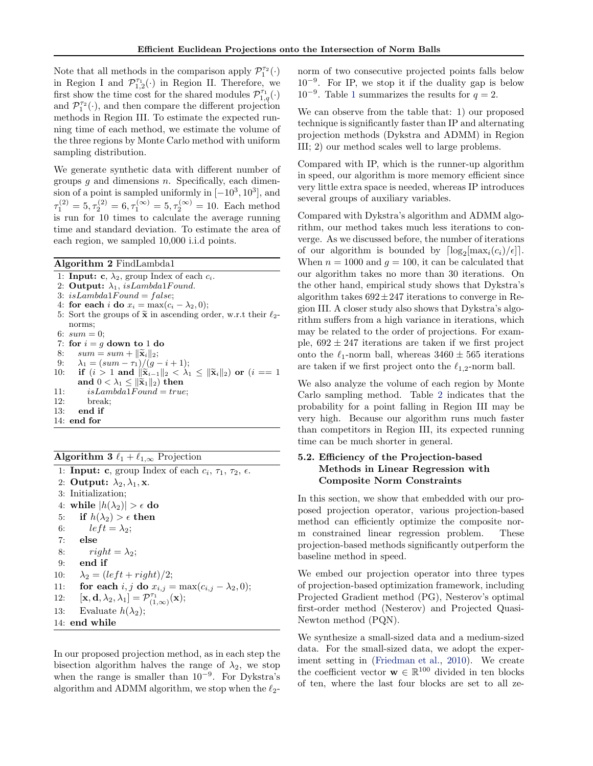Note that all methods in the comparison apply  $\mathcal{P}_1^{\tau_2}(\cdot)$ in Region I and  $\mathcal{P}_{1,2}^{\tau_1}(\cdot)$  in Region II. Therefore, we first show the time cost for the shared modules  $\mathcal{P}_{1,q}^{\tau_1}(\cdot)$ and  $\mathcal{P}_1^{\tau_2}(\cdot)$ , and then compare the different projection methods in Region III. To estimate the expected running time of each method, we estimate the volume of the three regions by Monte Carlo method with uniform sampling distribution.

We generate synthetic data with different number of groups *g* and dimensions *n*. Specifically, each dimension of a point is sampled uniformly in  $[-10^3, 10^3]$ , and  $\tau_1^{(2)} = 5, \tau_2^{(2)} = 6, \tau_1^{(\infty)} = 5, \tau_2^{(\infty)} = 10.$  Each method is run for 10 times to calculate the average running time and standard deviation. To estimate the area of each region, we sampled 10,000 i.i.d points.

### **Algorithm 2** FindLambda1

1: **Input: c**,  $\lambda_2$ , group Index of each  $c_i$ . 2: **Output:** *λ*1, *isLambda*1*F ound*. 3: *isLambda*1*F ound* = *false*; 4: **for each** *i* **do**  $x_i = \max(c_i - \lambda_2, 0);$ 5: Sort the groups of  $\tilde{\mathbf{x}}$  in ascending order, w.r.t their  $\ell_2$ norms; 6:  $sum = 0$ ; 7: **for**  $i = g$  **down to** 1 **do** 8:  $sum = sum + ||\tilde{\mathbf{x}}_i||_2;$ <br>9:  $\lambda_1 = (sum - \tau_1)/(q - \tau_2)$ 9:  $\lambda_1 = (sum - \tau_1)/(g - i + 1);$ <br>10: **if**  $(i > 1$  and  $\|\tilde{\mathbf{x}}_{i-1}\|_2 < \lambda_1$ **if**  $(i > 1$  **and**  $\|\tilde{\mathbf{x}}_{i-1}\|_2 < \lambda_1 \le \|\tilde{\mathbf{x}}_i\|_2$  **or**  $(i == 1)$ **and**  $0 < \lambda_1 \leq ||\tilde{\mathbf{x}}_1||_2$  **then** 11: *isLambda*1*F ound* = *true*; 12: break; 13: **end if** 14: **end for**

**Algorithm 3**  $\ell_1 + \ell_{1,\infty}$  Projection

1: **Input: c**, group Index of each  $c_i$ ,  $\tau_1$ ,  $\tau_2$ ,  $\epsilon$ . 2: **Output:**  $\lambda_2, \lambda_1, \mathbf{x}$ . 3: Initialization; 4: **while**  $|h(\lambda_2)| > \epsilon$  do 5: **if**  $h(\lambda_2) > \epsilon$  **then** 6:  $left = \lambda_2;$ 7: **else** 8:  $right = \lambda_2;$ 9: **end if** 10:  $\lambda_2 = (left + right)/2;$ 11: **for each** *i, j* **do**  $x_{i,j} = \max(c_{i,j} - \lambda_2, 0);$ 12:  $\left[\mathbf{x}, \mathbf{d}, \lambda_2, \lambda_1\right] = \mathcal{P}_{(1,\infty)}^{\tau_1}(\mathbf{x});$ 13: Evaluate  $h(\lambda_2)$ ; 14: **end while**

In our proposed projection method, as in each step the bisection algorithm halves the range of  $\lambda_2$ , we stop when the range is smaller than 10*−*<sup>9</sup> . For Dykstra's algorithm and ADMM algorithm, we stop when the *ℓ*2norm of two consecutive projected points falls below 10*−*<sup>9</sup> . For IP, we stop it if the duality gap is below 10<sup>−9</sup>. Table 1 summarizes the results for  $q = 2$ .

We can observe from the table that: 1) our proposed technique is significantly faster than IP and alternating projection methods (Dykstra and ADMM) in Region III; 2) our method scales well to large problems.

Compared with IP, which is the runner-up algorithm in speed, our algorithm is more memory efficient since very little extra space is needed, whereas IP introduces several groups of auxiliary variables.

Compared with Dykstra's algorithm and ADMM algorithm, our method takes much less iterations to converge. As we discussed before, the number of iterations of our algorithm is bounded by  $\lceil \log_2 \lfloor \max_i(c_i)/\epsilon \rfloor \rceil$ . When  $n = 1000$  and  $q = 100$ , it can be calculated that our algorithm takes no more than 30 iterations. On the other hand, empirical study shows that Dykstra's algorithm takes 692*±*247 iterations to converge in Region III. A closer study also shows that Dykstra's algorithm suffers from a high variance in iterations, which may be related to the order of projections. For example,  $692 \pm 247$  iterations are taken if we first project onto the  $\ell_1$ -norm ball, whereas  $3460 \pm 565$  iterations are taken if we first project onto the  $\ell_{1,2}$ -norm ball.

We also analyze the volume of each region by Monte Carlo sampling method. Table 2 indicates that the probability for a point falling in Region III may be very high. Because our algorithm runs much faster than competitors in Region III, its expected running time can be much shorter in general.

# **5.2. Efficiency of the Projection-based Methods in Linear Regression with Composite Norm Constraints**

In this section, we show that embedded with our proposed projection operator, various projection-based method can efficiently optimize the composite norm constrained linear regression problem. These projection-based methods significantly outperform the baseline method in speed.

We embed our projection operator into three types of projection-based optimization framework, including Projected Gradient method (PG), Nesterov's optimal first-order method (Nesterov) and Projected Quasi-Newton method (PQN).

We synthesize a small-sized data and a medium-sized data. For the small-sized data, we adopt the experiment setting in (Friedman et al., 2010). We create the coefficient vector  $\mathbf{w} \in \mathbb{R}^{100}$  divided in ten blocks of ten, where the last four blocks are set to all ze-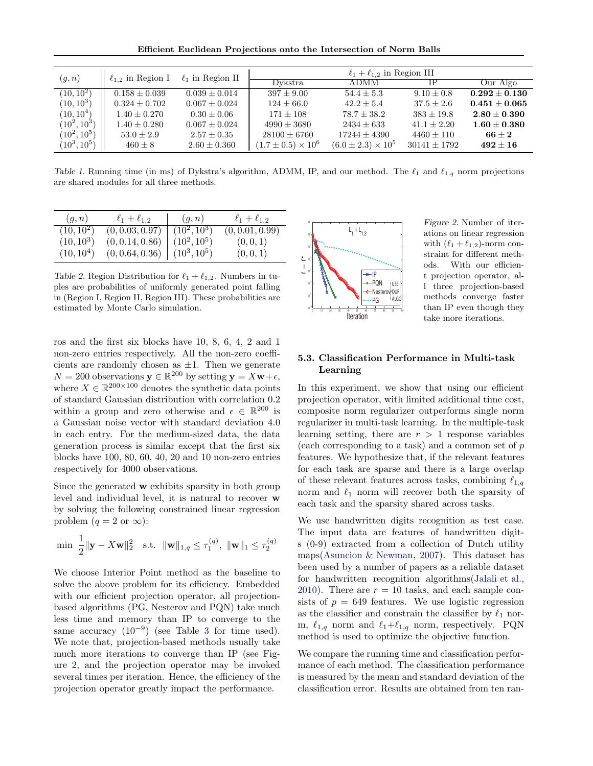**Efficient Euclidean Projections onto the Intersection of Norm Balls**

| (g, n)         | $\ell_{1,2}$ in Region I | $\ell_1$ in Region II | $\ell_1 + \ell_{1,2}$ in Region III |                             |                |                 |
|----------------|--------------------------|-----------------------|-------------------------------------|-----------------------------|----------------|-----------------|
|                |                          |                       | Dvkstra                             | <b>ADMM</b>                 | IΡ             | Our Algo        |
| $(10, 10^2)$   | $0.158 + 0.039$          | $0.039 + 0.014$       | $397 + 9.00$                        | $54.4 + 5.3$                | $9.10 + 0.8$   | $0.292 + 0.130$ |
| $(10, 10^3)$   | $0.324 \pm 0.702$        | $0.067 \pm 0.024$     | $124 \pm 66.0$                      | $42.2 + 5.4$                | $37.5 + 2.6$   | $0.451 + 0.065$ |
| $(10, 10^4)$   | $1.40 \pm 0.270$         | $0.30 \pm 0.06$       | $171 + 108$                         | $78.7 + 38.2$               | $383 + 19.8$   | $2.80 + 0.390$  |
| $(10^2, 10^3)$ | $1.40 + 0.280$           | $0.067 + 0.024$       | $4990 + 3680$                       | $2434 \pm 633$              | $41.1 + 2.20$  | $1.60\pm0.380$  |
| $(10^2, 10^5)$ | $53.0 \pm 2.9$           | $2.57 \pm 0.35$       | $28100 \pm 6760$                    | $17244 + 4390$              | $4460 + 110$   | $66+2$          |
| $(10^3, 10^5)$ | $460 \pm 8$              | $2.60 \pm 0.360$      | $(1.7 \pm 0.5) \times 10^6$         | $(6.0 \pm 2.3) \times 10^5$ | $30141 + 1792$ | $492 + 16$      |

*Table 1.* Running time (in ms) of Dykstra's algorithm, ADMM, IP, and our method. The *ℓ*<sup>1</sup> and *ℓ*1*,q* norm projections are shared modules for all three methods.

| (g,n)                  | $\ell_1 + \ell_{1,2}$            | (q, n)         | $\ell_1 + \ell_{1,2}$ |
|------------------------|----------------------------------|----------------|-----------------------|
| $(10, 10^2)$           | $(0, 0.03, 0.97)$ $(10^2, 10^3)$ |                | (0, 0.01, 0.99)       |
| $(10, 10^3)$           | (0, 0.14, 0.86)                  | $(10^2, 10^5)$ | (0,0,1)               |
| (10, 10 <sup>4</sup> ) | $(0, 0.64, 0.36)$ $(10^3, 10^5)$ |                | (0,0,1)               |

*Table 2.* Region Distribution for  $\ell_1 + \ell_{1,2}$ . Numbers in tuples are probabilities of uniformly generated point falling in (Region I, Region II, Region III). These probabilities are estimated by Monte Carlo simulation.

ros and the first six blocks have 10, 8, 6, 4, 2 and 1 non-zero entries respectively. All the non-zero coefficients are randomly chosen as *±*1. Then we generate  $N = 200$  observations  $y \in \mathbb{R}^{200}$  by setting  $y = Xw + \epsilon$ , where  $X \in \mathbb{R}^{200 \times 100}$  denotes the synthetic data points of standard Gaussian distribution with correlation 0.2 within a group and zero otherwise and  $\epsilon \in \mathbb{R}^{200}$  is a Gaussian noise vector with standard deviation 4*.*0 in each entry. For the medium-sized data, the data generation process is similar except that the first six blocks have 100, 80, 60, 40, 20 and 10 non-zero entries respectively for 4000 observations.

Since the generated **w** exhibits sparsity in both group level and individual level, it is natural to recover **w** by solving the following constrained linear regression problem  $(q = 2 \text{ or } \infty)$ :

$$
\min \ \frac{1}{2} \|\mathbf{y} - X\mathbf{w}\|_2^2 \quad \text{s.t.} \ \|\mathbf{w}\|_{1,q} \le \tau_1^{(q)}, \ \|\mathbf{w}\|_1 \le \tau_2^{(q)}
$$

We choose Interior Point method as the baseline to solve the above problem for its efficiency. Embedded with our efficient projection operator, all projectionbased algorithms (PG, Nesterov and PQN) take much less time and memory than IP to converge to the same accuracy (10<sup>-9</sup>) (see Table 3 for time used). We note that, projection-based methods usually take much more iterations to converge than IP (see Figure 2, and the projection operator may be invoked several times per iteration. Hence, the efficiency of the projection operator greatly impact the performance.



*Figure 2.* Number of iterations on linear regression with  $(\ell_1 + \ell_{1,2})$ -norm constraint for different methods. With our efficient projection operator, all three projection-based methods converge faster than IP even though they take more iterations.

# **5.3. Classification Performance in Multi-task Learning**

In this experiment, we show that using our efficient projection operator, with limited additional time cost, composite norm regularizer outperforms single norm regularizer in multi-task learning. In the multiple-task learning setting, there are  $r > 1$  response variables (each corresponding to a task) and a common set of *p* features. We hypothesize that, if the relevant features for each task are sparse and there is a large overlap of these relevant features across tasks, combining *ℓ*1*,q* norm and  $\ell_1$  norm will recover both the sparsity of each task and the sparsity shared across tasks.

We use handwritten digits recognition as test case. The input data are features of handwritten digits (0-9) extracted from a collection of Dutch utility maps(Asuncion & Newman, 2007). This dataset has been used by a number of papers as a reliable dataset for handwritten recognition algorithms(Jalali et al., 2010). There are  $r = 10$  tasks, and each sample consists of  $p = 649$  features. We use logistic regression as the classifier and constrain the classifier by  $\ell_1$  norm,  $\ell_{1,q}$  norm and  $\ell_1+\ell_{1,q}$  norm, respectively. PQN method is used to optimize the objective function.

We compare the running time and classification performance of each method. The classification performance is measured by the mean and standard deviation of the classification error. Results are obtained from ten ran-